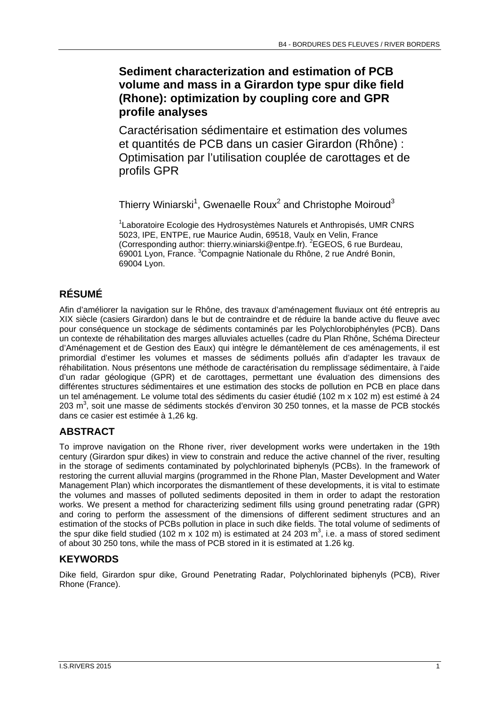### **Sediment characterization and estimation of PCB volume and mass in a Girardon type spur dike field (Rhone): optimization by coupling core and GPR profile analyses**

Caractérisation sédimentaire et estimation des volumes et quantités de PCB dans un casier Girardon (Rhône) : Optimisation par l'utilisation couplée de carottages et de profils GPR

Thierry Winiarski<sup>1</sup>, Gwenaelle Roux<sup>2</sup> and Christophe Moiroud<sup>3</sup>

<sup>1</sup> Laboratoire Ecologie des Hydrosystèmes Naturels et Anthropisés, UMR CNRS 5023, IPE, ENTPE, rue Maurice Audin, 69518, Vaulx en Velin, France (Corresponding author: thierry.winiarski@entpe.fr). <sup>2</sup>EGEOS, 6 rue Burdeau, 69001 Lyon, France. <sup>3</sup>Compagnie Nationale du Rhône, 2 rue André Bonin, 69004 Lyon.

# **RÉSUMÉ**

Afin d'améliorer la navigation sur le Rhône, des travaux d'aménagement fluviaux ont été entrepris au XIX siècle (casiers Girardon) dans le but de contraindre et de réduire la bande active du fleuve avec pour conséquence un stockage de sédiments contaminés par les Polychlorobiphényles (PCB). Dans un contexte de réhabilitation des marges alluviales actuelles (cadre du Plan Rhône, Schéma Directeur d'Aménagement et de Gestion des Eaux) qui intègre le démantèlement de ces aménagements, il est primordial d'estimer les volumes et masses de sédiments pollués afin d'adapter les travaux de réhabilitation. Nous présentons une méthode de caractérisation du remplissage sédimentaire, à l'aide d'un radar géologique (GPR) et de carottages, permettant une évaluation des dimensions des différentes structures sédimentaires et une estimation des stocks de pollution en PCB en place dans un tel aménagement. Le volume total des sédiments du casier étudié (102 m x 102 m) est estimé à 24 203 m<sup>3</sup>, soit une masse de sédiments stockés d'environ 30 250 tonnes, et la masse de PCB stockés dans ce casier est estimée à 1,26 kg.

# **ABSTRACT**

To improve navigation on the Rhone river, river development works were undertaken in the 19th century (Girardon spur dikes) in view to constrain and reduce the active channel of the river, resulting in the storage of sediments contaminated by polychlorinated biphenyls (PCBs). In the framework of restoring the current alluvial margins (programmed in the Rhone Plan, Master Development and Water Management Plan) which incorporates the dismantlement of these developments, it is vital to estimate the volumes and masses of polluted sediments deposited in them in order to adapt the restoration works. We present a method for characterizing sediment fills using ground penetrating radar (GPR) and coring to perform the assessment of the dimensions of different sediment structures and an estimation of the stocks of PCBs pollution in place in such dike fields. The total volume of sediments of the spur dike field studied (102 m x 102 m) is estimated at 24 203 m<sup>3</sup>, i.e. a mass of stored sediment of about 30 250 tons, while the mass of PCB stored in it is estimated at 1.26 kg.

# **KEYWORDS**

Dike field, Girardon spur dike, Ground Penetrating Radar, Polychlorinated biphenyls (PCB), River Rhone (France).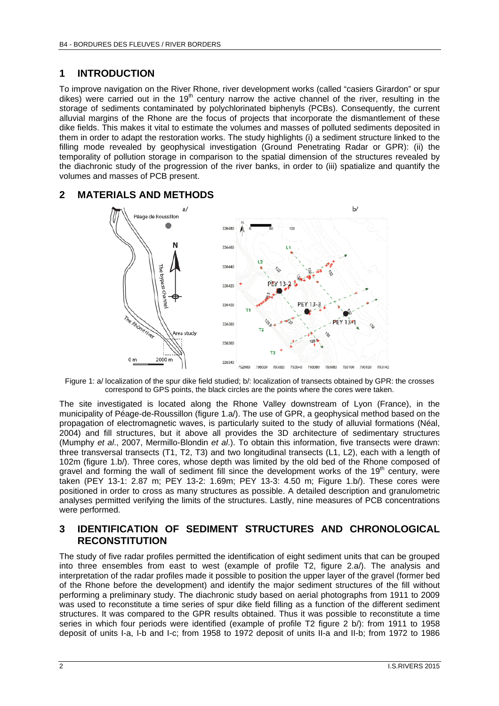### **1 INTRODUCTION**

To improve navigation on the River Rhone, river development works (called "casiers Girardon" or spur dikes) were carried out in the 19<sup>th</sup> century narrow the active channel of the river, resulting in the storage of sediments contaminated by polychlorinated biphenyls (PCBs). Consequently, the current alluvial margins of the Rhone are the focus of projects that incorporate the dismantlement of these dike fields. This makes it vital to estimate the volumes and masses of polluted sediments deposited in them in order to adapt the restoration works. The study highlights (i) a sediment structure linked to the filling mode revealed by geophysical investigation (Ground Penetrating Radar or GPR): (ii) the temporality of pollution storage in comparison to the spatial dimension of the structures revealed by the diachronic study of the progression of the river banks, in order to (iii) spatialize and quantify the volumes and masses of PCB present.

#### **2 MATERIALS AND METHODS**



Figure 1: a/ localization of the spur dike field studied; b/: localization of transects obtained by GPR: the crosses correspond to GPS points, the black circles are the points where the cores were taken.

The site investigated is located along the Rhone Valley downstream of Lyon (France), in the municipality of Péage-de-Roussillon (figure 1.a/). The use of GPR, a geophysical method based on the propagation of electromagnetic waves, is particularly suited to the study of alluvial formations (Néal, 2004) and fill structures, but it above all provides the 3D architecture of sedimentary structures (Mumphy *et al*., 2007, Mermillo-Blondin *et al*.). To obtain this information, five transects were drawn: three transversal transects (T1, T2, T3) and two longitudinal transects (L1, L2), each with a length of 102m (figure 1.b/). Three cores, whose depth was limited by the old bed of the Rhone composed of gravel and forming the wall of sediment fill since the development works of the  $19<sup>th</sup>$  century, were taken (PEY 13-1: 2.87 m; PEY 13-2: 1.69m; PEY 13-3: 4.50 m; Figure 1.b/). These cores were positioned in order to cross as many structures as possible. A detailed description and granulometric analyses permitted verifying the limits of the structures. Lastly, nine measures of PCB concentrations were performed.

#### **3 IDENTIFICATION OF SEDIMENT STRUCTURES AND CHRONOLOGICAL RECONSTITUTION**

The study of five radar profiles permitted the identification of eight sediment units that can be grouped into three ensembles from east to west (example of profile T2, figure 2.a/). The analysis and interpretation of the radar profiles made it possible to position the upper layer of the gravel (former bed of the Rhone before the development) and identify the major sediment structures of the fill without performing a preliminary study. The diachronic study based on aerial photographs from 1911 to 2009 was used to reconstitute a time series of spur dike field filling as a function of the different sediment structures. It was compared to the GPR results obtained. Thus it was possible to reconstitute a time series in which four periods were identified (example of profile T2 figure 2 b/): from 1911 to 1958 deposit of units I-a, I-b and I-c; from 1958 to 1972 deposit of units II-a and II-b; from 1972 to 1986